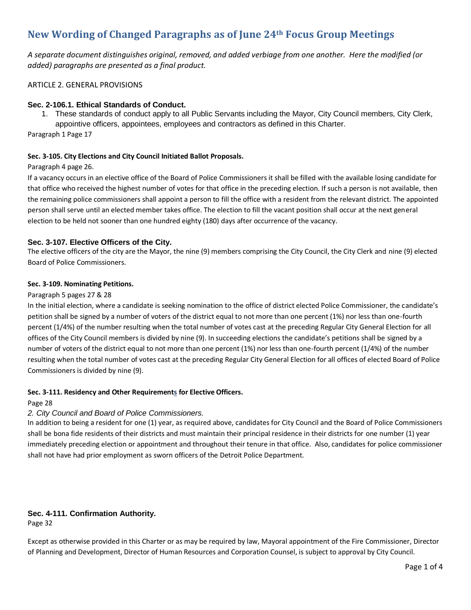# **New Wording of Changed Paragraphs as of June 24th Focus Group Meetings**

*A separate document distinguishes original, removed, and added verbiage from one another. Here the modified (or added) paragraphs are presented as a final product.*

# ARTICLE 2. GENERAL PROVISIONS

# **Sec. 2-106.1. Ethical Standards of Conduct.**

1. These standards of conduct apply to all Public Servants including the Mayor, City Council members, City Clerk, appointive officers, appointees, employees and contractors as defined in this Charter.

Paragraph 1 Page 17

# **Sec. 3-105. City Elections and City Council Initiated Ballot Proposals.**

#### Paragraph 4 page 26.

If a vacancy occurs in an elective office of the Board of Police Commissioners it shall be filled with the available losing candidate for that office who received the highest number of votes for that office in the preceding election. If such a person is not available, then the remaining police commissioners shall appoint a person to fill the office with a resident from the relevant district. The appointed person shall serve until an elected member takes office. The election to fill the vacant position shall occur at the next general election to be held not sooner than one hundred eighty (180) days after occurrence of the vacancy.

# **Sec. 3-107. Elective Officers of the City.**

The elective officers of the city are the Mayor, the nine (9) members comprising the City Council, the City Clerk and nine (9) elected Board of Police Commissioners.

#### **Sec. 3-109. Nominating Petitions.**

#### Paragraph 5 pages 27 & 28

In the initial election, where a candidate is seeking nomination to the office of district elected Police Commissioner, the candidate's petition shall be signed by a number of voters of the district equal to not more than one percent (1%) nor less than one-fourth percent (1/4%) of the number resulting when the total number of votes cast at the preceding Regular City General Election for all offices of the City Council members is divided by nine (9). In succeeding elections the candidate's petitions shall be signed by a number of voters of the district equal to not more than one percent (1%) nor less than one-fourth percent (1/4%) of the number resulting when the total number of votes cast at the preceding Regular City General Election for all offices of elected Board of Police Commissioners is divided by nine (9).

#### **Sec. 3-111. Residency and Other Requirements for Elective Officers.**

#### Page 28

#### *2. City Council and Board of Police Commissioners.*

In addition to being a resident for one (1) year, as required above, candidates for City Council and the Board of Police Commissioners shall be bona fide residents of their districts and must maintain their principal residence in their districts for one number (1) year immediately preceding election or appointment and throughout their tenure in that office. Also, candidates for police commissioner shall not have had prior employment as sworn officers of the Detroit Police Department.

# **Sec. 4-111. Confirmation Authority.**

Page 32

Except as otherwise provided in this Charter or as may be required by law, Mayoral appointment of the Fire Commissioner, Director of Planning and Development, Director of Human Resources and Corporation Counsel, is subject to approval by City Council.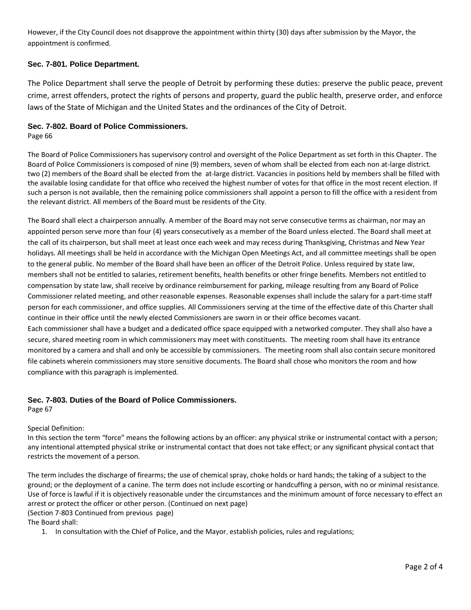However, if the City Council does not disapprove the appointment within thirty (30) days after submission by the Mayor, the appointment is confirmed.

# **Sec. 7-801. Police Department.**

The Police Department shall serve the people of Detroit by performing these duties: preserve the public peace, prevent crime, arrest offenders, protect the rights of persons and property, guard the public health, preserve order, and enforce laws of the State of Michigan and the United States and the ordinances of the City of Detroit.

# **Sec. 7-802. Board of Police Commissioners.**

Page 66

The Board of Police Commissioners has supervisory control and oversight of the Police Department as set forth in this Chapter. The Board of Police Commissioners is composed of nine (9) members, seven of whom shall be elected from each non at-large district. two (2) members of the Board shall be elected from the at-large district. Vacancies in positions held by members shall be filled with the available losing candidate for that office who received the highest number of votes for that office in the most recent election. If such a person is not available, then the remaining police commissioners shall appoint a person to fill the office with a resident from the relevant district. All members of the Board must be residents of the City.

The Board shall elect a chairperson annually. A member of the Board may not serve consecutive terms as chairman, nor may an appointed person serve more than four (4) years consecutively as a member of the Board unless elected. The Board shall meet at the call of its chairperson, but shall meet at least once each week and may recess during Thanksgiving, Christmas and New Year holidays. All meetings shall be held in accordance with the Michigan Open Meetings Act, and all committee meetings shall be open to the general public. No member of the Board shall have been an officer of the Detroit Police. Unless required by state law, members shall not be entitled to salaries, retirement benefits, health benefits or other fringe benefits. Members not entitled to compensation by state law, shall receive by ordinance reimbursement for parking, mileage resulting from any Board of Police Commissioner related meeting, and other reasonable expenses. Reasonable expenses shall include the salary for a part-time staff person for each commissioner, and office supplies. All Commissioners serving at the time of the effective date of this Charter shall continue in their office until the newly elected Commissioners are sworn in or their office becomes vacant.

Each commissioner shall have a budget and a dedicated office space equipped with a networked computer. They shall also have a secure, shared meeting room in which commissioners may meet with constituents. The meeting room shall have its entrance monitored by a camera and shall and only be accessible by commissioners. The meeting room shall also contain secure monitored file cabinets wherein commissioners may store sensitive documents. The Board shall chose who monitors the room and how compliance with this paragraph is implemented.

#### **Sec. 7-803. Duties of the Board of Police Commissioners.**

Page 67

#### Special Definition:

In this section the term "force" means the following actions by an officer: any physical strike or instrumental contact with a person; any intentional attempted physical strike or instrumental contact that does not take effect; or any significant physical contact that restricts the movement of a person.

The term includes the discharge of firearms; the use of chemical spray, choke holds or hard hands; the taking of a subject to the ground; or the deployment of a canine. The term does not include escorting or handcuffing a person, with no or minimal resistance. Use of force is lawful if it is objectively reasonable under the circumstances and the minimum amount of force necessary to effect an arrest or protect the officer or other person. (Continued on next page)

(Section 7-803 Continued from previous page)

The Board shall:

1. In consultation with the Chief of Police, and the Mayor, establish policies, rules and regulations;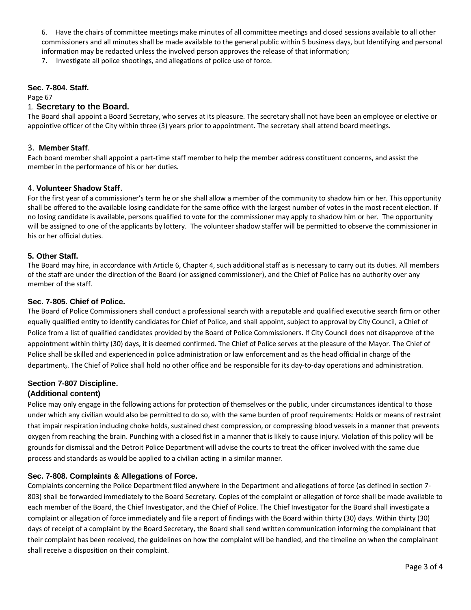6. Have the chairs of committee meetings make minutes of all committee meetings and closed sessions available to all other commissioners and all minutes shall be made available to the general public within 5 business days, but Identifying and personal information may be redacted unless the involved person approves the release of that information;

7. Investigate all police shootings, and allegations of police use of force.

## **Sec. 7-804. Staff.**

Page 67

# 1. **Secretary to the Board.**

The Board shall appoint a Board Secretary, who serves at its pleasure. The secretary shall not have been an employee or elective or appointive officer of the City within three (3) years prior to appointment. The secretary shall attend board meetings.

# 3. **Member Staff**.

Each board member shall appoint a part-time staff member to help the member address constituent concerns, and assist the member in the performance of his or her duties.

# 4. **Volunteer Shadow Staff**.

For the first year of a commissioner's term he or she shall allow a member of the community to shadow him or her. This opportunity shall be offered to the available losing candidate for the same office with the largest number of votes in the most recent election. If no losing candidate is available, persons qualified to vote for the commissioner may apply to shadow him or her. The opportunity will be assigned to one of the applicants by lottery. The volunteer shadow staffer will be permitted to observe the commissioner in his or her official duties.

# **5. Other Staff.**

The Board may hire, in accordance with Article 6, Chapter 4, such additional staff as is necessary to carry out its duties. All members of the staff are under the direction of the Board (or assigned commissioner), and the Chief of Police has no authority over any member of the staff.

# **Sec. 7-805. Chief of Police.**

The Board of Police Commissioners shall conduct a professional search with a reputable and qualified executive search firm or other equally qualified entity to identify candidates for Chief of Police, and shall appoint, subject to approval by City Council, a Chief of Police from a list of qualified candidates provided by the Board of Police Commissioners. If City Council does not disapprove of the appointment within thirty (30) days, it is deemed confirmed. The Chief of Police serves at the pleasure of the Mayor. The Chief of Police shall be skilled and experienced in police administration or law enforcement and as the head official in charge of the department,. The Chief of Police shall hold no other office and be responsible for its day-to-day operations and administration.

# **Section 7-807 Discipline.**

#### **(Additional content)**

Police may only engage in the following actions for protection of themselves or the public, under circumstances identical to those under which any civilian would also be permitted to do so, with the same burden of proof requirements: Holds or means of restraint that impair respiration including choke holds, sustained chest compression, or compressing blood vessels in a manner that prevents oxygen from reaching the brain. Punching with a closed fist in a manner that is likely to cause injury. Violation of this policy will be grounds for dismissal and the Detroit Police Department will advise the courts to treat the officer involved with the same due process and standards as would be applied to a civilian acting in a similar manner.

# **Sec. 7-808. Complaints & Allegations of Force.**

Complaints concerning the Police Department filed anywhere in the Department and allegations of force (as defined in section 7- 803) shall be forwarded immediately to the Board Secretary. Copies of the complaint or allegation of force shall be made available to each member of the Board, the Chief Investigator, and the Chief of Police. The Chief Investigator for the Board shall investigate a complaint or allegation of force immediately and file a report of findings with the Board within thirty (30) days. Within thirty (30) days of receipt of a complaint by the Board Secretary, the Board shall send written communication informing the complainant that their complaint has been received, the guidelines on how the complaint will be handled, and the timeline on when the complainant shall receive a disposition on their complaint.